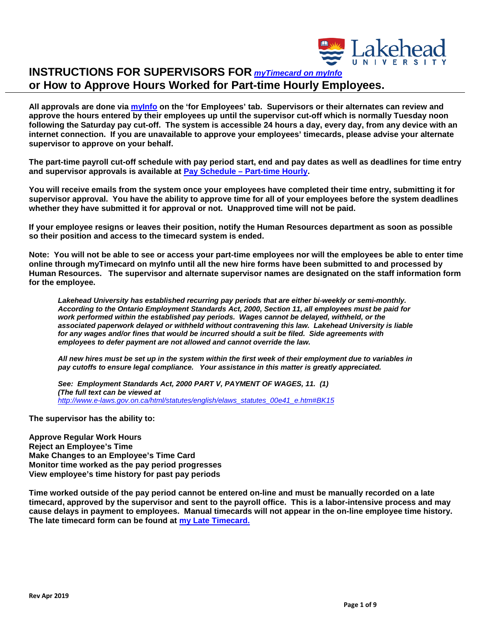

**All approvals are done via [myInfo](https://erpwp.lakeheadu.ca/) on the 'for Employees' tab. Supervisors or their alternates can review and approve the hours entered by their employees up until the supervisor cut-off which is normally Tuesday noon following the Saturday pay cut-off. The system is accessible 24 hours a day, every day, from any device with an internet connection. If you are unavailable to approve your employees' timecards, please advise your alternate supervisor to approve on your behalf.**

**The part-time payroll cut-off schedule with pay period start, end and pay dates as well as deadlines for time entry and supervisor approvals is available at [Pay Schedule – Part-time Hourly.](https://www.lakeheadu.ca/faculty-and-staff/departments/services/finance/payroll/payroll-forms)** 

**You will receive emails from the system once your employees have completed their time entry, submitting it for supervisor approval. You have the ability to approve time for all of your employees before the system deadlines whether they have submitted it for approval or not. Unapproved time will not be paid.**

**If your employee resigns or leaves their position, notify the Human Resources department as soon as possible so their position and access to the timecard system is ended.**

**Note: You will not be able to see or access your part-time employees nor will the employees be able to enter time online through myTimecard on myInfo until all the new hire forms have been submitted to and processed by Human Resources. The supervisor and alternate supervisor names are designated on the staff information form for the employee.**

*Lakehead University has established recurring pay periods that are either bi-weekly or semi-monthly. According to the Ontario Employment Standards Act, 2000, Section 11, all employees must be paid for work performed within the established pay periods. Wages cannot be delayed, withheld, or the associated paperwork delayed or withheld without contravening this law. Lakehead University is liable for any wages and/or fines that would be incurred should a suit be filed. Side agreements with employees to defer payment are not allowed and cannot override the law.* 

*All new hires must be set up in the system within the first week of their employment due to variables in pay cutoffs to ensure legal compliance. Your assistance in this matter is greatly appreciated.*

*See: Employment Standards Act, 2000 PART V, PAYMENT OF WAGES[, 11. \(1\)](http://www.e-laws.gov.on.ca/html/statutes/french/elaws_statutes_00e41_f.htm#s11s1)  (The full text can be viewed at [http://www.e-laws.gov.on.ca/html/statutes/english/elaws\\_statutes\\_00e41\\_e.htm#BK15](http://www.e-laws.gov.on.ca/html/statutes/english/elaws_statutes_00e41_e.htm#BK15)* 

**The supervisor has the ability to:**

**Approve Regular Work Hours Reject an Employee's Time Make Changes to an Employee's Time Card Monitor time worked as the pay period progresses View employee's time history for past pay periods**

**Time worked outside of the pay period cannot be entered on-line and must be manually recorded on a late timecard, approved by the supervisor and sent to the payroll office. This is a labor-intensive process and may cause delays in payment to employees. Manual timecards will not appear in the on-line employee time history. The late timecard form can be found at my Late [Timecard.](https://www.lakeheadu.ca/faculty-and-staff/departments/services/finance/payroll/payroll-forms)**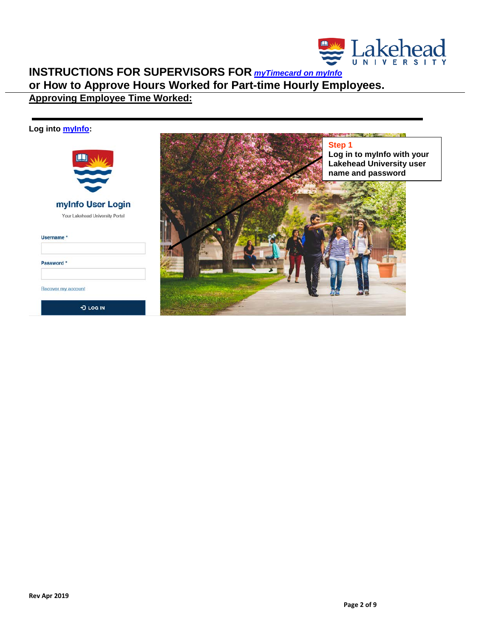

# **INSTRUCTIONS FOR SUPERVISORS FOR** *[myTimecard on myInfo](https://erpwp.lakeheadu.ca/)* **or How to Approve Hours Worked for Part-time Hourly Employees. Approving Employee Time Worked:**

### **Log into [myInfo:](https://erpwp.lakeheadu.ca/)**



### myInfo User Login

Your Lakehead University Portal

| Username * |  |  |  |  |  |  |  |
|------------|--|--|--|--|--|--|--|
|------------|--|--|--|--|--|--|--|

Password \*

Recover my account

D LOG IN

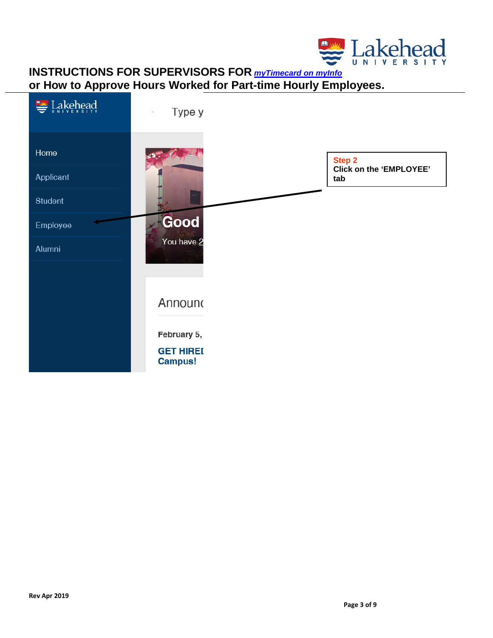

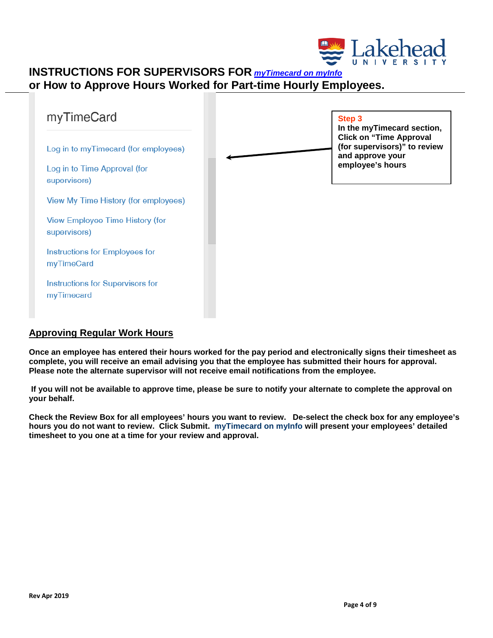



### **Approving Regular Work Hours**

**Once an employee has entered their hours worked for the pay period and electronically signs their timesheet as complete, you will receive an email advising you that the employee has submitted their hours for approval. Please note the alternate supervisor will not receive email notifications from the employee.** 

**If you will not be available to approve time, please be sure to notify your alternate to complete the approval on your behalf.**

**Check the Review Box for all employees' hours you want to review. De-select the check box for any employee's hours you do not want to review. Click Submit. myTimecard on myInfo will present your employees' detailed timesheet to you one at a time for your review and approval.**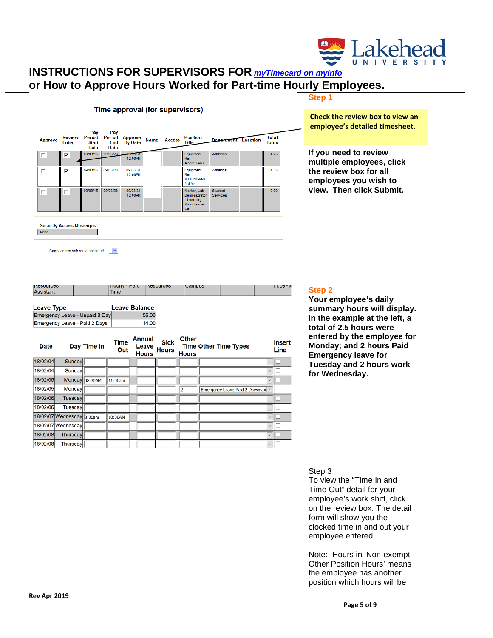

#### **Step 1**

Time approval (for supervisors)

| <b>Approve</b> | <b>Entry</b> | Pay<br><b>Start</b><br><b>Date</b> | Pay<br><b>Date</b> | Review Period Period Approve<br>End By Date | <b>Name</b> | <b>Access</b> | <b>Position</b><br>Title                                       | <b>Department</b> Location        | <b>Total</b><br><b>Hours</b> |
|----------------|--------------|------------------------------------|--------------------|---------------------------------------------|-------------|---------------|----------------------------------------------------------------|-----------------------------------|------------------------------|
| IE.            | ⊽            |                                    | 09/03/15 09/03/28  | 00/03/31<br>12:00PM                         |             |               | Equipment<br>R <sub>m</sub><br><b>ASSISTANT</b>                | <b>Athletics</b>                  | 4.25                         |
| П              | ⊽            | 09/03/15                           | 09/03/28           | 09/03/31<br>12:00PM                         |             |               | Equipment<br>Rm<br><b>ATTENDANT</b><br>1st Yr                  | <b>Athletics</b>                  | 4.25                         |
| п              | п            | 09/03/15                           | 09/03/28           | 09/03/31<br>12:00PM                         |             |               | Marker, Lab<br>Demonstrator<br>- Learning<br>Assistance<br>Ctr | <b>Student</b><br><b>Services</b> | 0.00                         |

### **Check the review box to view an employee's detailed timesheet.**

**If you need to review multiple employees, click the review box for all employees you wish to view. Then click Submit.**

**Security Access Messages** 

None

Approve time entries on behalf of  $\overline{\phantom{a}}$ 

| <b>Date</b>       | Day Time In                    | <b>Time</b><br>Out   | <b>Annual</b><br><b>Sick</b><br>Leave<br>Hours | Other<br><b>Time Other Time Types</b> | <b>Insert</b><br>Line |
|-------------------|--------------------------------|----------------------|------------------------------------------------|---------------------------------------|-----------------------|
|                   | Emergency Leave - Paid 2 Days  |                      | 14.00                                          |                                       |                       |
|                   | Emergency Leave - Unpaid 8 Day |                      | 56.00                                          |                                       |                       |
| <b>Leave Type</b> |                                | <b>Leave Balance</b> |                                                |                                       |                       |
|                   |                                |                      |                                                |                                       |                       |
| .<br>Assistant    |                                | <br>Time             | <u>,,,,,,,,,,,</u>                             | $  -$                                 | .                     |

| Pale     |                           | <b>Day Three</b> III | Out     | Leave<br><b>Hours</b> | <b>Hours</b> | <b>Hours</b> | THE ATTEL THE TANCS              | Line |
|----------|---------------------------|----------------------|---------|-----------------------|--------------|--------------|----------------------------------|------|
| 18/02/04 | Sunday                    |                      |         |                       |              |              | $\ddot{}$                        |      |
| 18/02/04 | Sunday                    |                      |         |                       |              |              |                                  |      |
| 18/02/05 |                           | Monday 08:30AM       | 11:00am |                       |              |              |                                  |      |
| 18/02/05 | Monday                    |                      |         |                       |              |              | Emergency Leave-Paid 2 Daysmax v |      |
| 18/02/06 | Tuesday                   |                      |         |                       |              |              |                                  |      |
| 18/02/06 | Tuesday                   |                      |         |                       |              |              |                                  |      |
|          | 18/02/07 Wednesday 8:30am |                      | 10:00AM |                       |              |              | $\sim$                           |      |
|          | 18/02/07 Wednesday        |                      |         |                       |              |              |                                  |      |
| 18/02/08 | Thursday                  |                      |         |                       |              |              | $\sim$                           |      |
| 18/02/08 | Thursday                  |                      |         |                       |              |              | $\sim$                           |      |

#### **Step 2**

**Your employee's daily summary hours will display. In the example at the left, a total of 2.5 hours were entered by the employee for Monday; and 2 hours Paid Emergency leave for Tuesday and 2 hours work for Wednesday.**

#### Step 3

To view the "Time In and Time Out" detail for your employee's work shift, click on the review box. The detail form will show you the clocked time in and out your employee entered.

Note: Hours in 'Non-exempt Other Position Hours' means the employee has another position which hours will be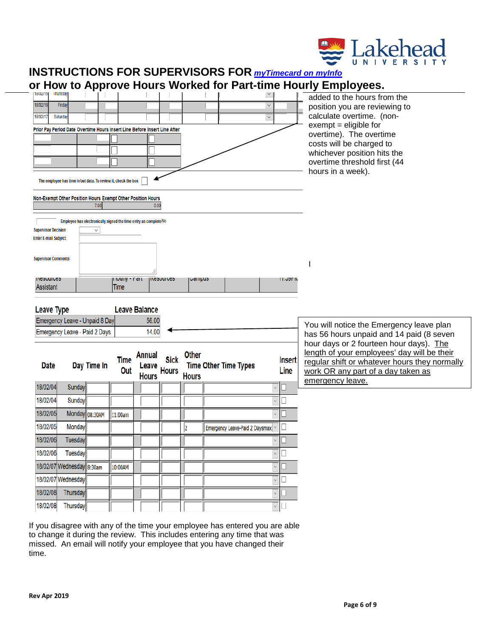

| UI<br>18/02/15                | <b>Inursoa</b>                                                            |                |                        |                                                                  |                      |              |                                  |                       |                                | TIOW to Apploye Hours Worked for Fait-time Hourly Employees.                        |
|-------------------------------|---------------------------------------------------------------------------|----------------|------------------------|------------------------------------------------------------------|----------------------|--------------|----------------------------------|-----------------------|--------------------------------|-------------------------------------------------------------------------------------|
| 18/02/16                      | Friday                                                                    |                |                        |                                                                  |                      |              |                                  |                       |                                | added to the hours from the                                                         |
|                               |                                                                           |                |                        |                                                                  |                      |              |                                  | $\mathcal{N}$         |                                | position you are reviewing to                                                       |
| 18/02/17                      | Saturday                                                                  |                |                        |                                                                  |                      |              |                                  | $\boldsymbol{\times}$ |                                | calculate overtime. (non-<br>$exempt = eligible for$                                |
|                               | Prior Pay Period Date Overtime Hours Insert Line Before Insert Line After |                |                        |                                                                  |                      |              |                                  |                       |                                | overtime). The overtime                                                             |
|                               |                                                                           |                |                        |                                                                  |                      |              |                                  |                       |                                | costs will be charged to                                                            |
|                               |                                                                           |                |                        |                                                                  |                      |              |                                  |                       |                                | whichever position hits the                                                         |
|                               |                                                                           |                |                        |                                                                  |                      |              |                                  |                       |                                | overtime threshold first (44                                                        |
|                               | The employee has time in/out data. To review it, check the box            |                |                        |                                                                  |                      |              |                                  |                       |                                | hours in a week).                                                                   |
|                               | Non-Exempt Other Position Hours Exempt Other Position Hours               | 7.00           |                        | 0.00                                                             |                      |              |                                  |                       |                                |                                                                                     |
|                               |                                                                           |                |                        |                                                                  |                      |              |                                  |                       |                                |                                                                                     |
| <b>Supervisor Decision</b>    |                                                                           | V.             |                        | Employee has electronically signed the time entry as complete No |                      |              |                                  |                       |                                |                                                                                     |
| <b>Enter E-mail Subject</b>   |                                                                           |                |                        |                                                                  |                      |              |                                  |                       |                                |                                                                                     |
|                               |                                                                           |                |                        |                                                                  |                      |              |                                  |                       |                                |                                                                                     |
| <b>Supervisor Comments</b>    |                                                                           |                |                        |                                                                  |                      |              |                                  |                       |                                |                                                                                     |
|                               |                                                                           |                |                        |                                                                  |                      |              |                                  |                       |                                |                                                                                     |
| <b>INCOULDED</b><br>Assistant |                                                                           |                | Tivully - Fait<br>Time |                                                                  | <b>II ICOUUI LEO</b> | ∪ampus       |                                  |                       | יו חכילו ו                     |                                                                                     |
|                               |                                                                           |                |                        |                                                                  |                      |              |                                  |                       |                                |                                                                                     |
| Leave Type                    |                                                                           |                |                        | <b>Leave Balance</b>                                             |                      |              |                                  |                       |                                |                                                                                     |
|                               | Emergency Leave - Unpaid 8 Day                                            |                |                        | 56.00                                                            |                      |              |                                  |                       |                                |                                                                                     |
|                               | Emergency Leave - Paid 2 Days                                             |                |                        | 14.00                                                            |                      |              |                                  |                       |                                | You will notice the Emergency leave plan                                            |
|                               |                                                                           |                |                        |                                                                  |                      |              |                                  |                       |                                | has 56 hours unpaid and 14 paid (8 seven<br>hour days or 2 fourteen hour days). The |
|                               |                                                                           |                |                        | Annual                                                           |                      | Other        |                                  |                       |                                | length of your employees' day will be their                                         |
| <b>Date</b>                   |                                                                           | Day Time In    | <b>Time</b>            |                                                                  | <b>Sick</b>          |              | <b>Time Other Time Types</b>     |                       | <b>Insert</b>                  | regular shift or whatever hours they normally                                       |
|                               |                                                                           |                | Out                    | Leave Hours<br><b>Hours</b>                                      |                      | <b>Hours</b> |                                  |                       | Line                           | work OR any part of a day taken as                                                  |
| 18/02/04                      | Sunday                                                                    |                |                        |                                                                  |                      |              |                                  | v                     | O                              | emergency leave.                                                                    |
| 18/02/04                      | Sunday                                                                    |                |                        |                                                                  |                      |              |                                  |                       | $\Box$                         |                                                                                     |
| 18/02/05                      |                                                                           | Monday 08:30AM | 11:00am                |                                                                  |                      |              |                                  |                       | П                              |                                                                                     |
| 18/02/05                      | Monday                                                                    |                |                        |                                                                  |                      | 12           | Emergency Leave-Paid 2 Daysmax V |                       | □                              |                                                                                     |
| 18/02/06                      | Tuesday                                                                   |                |                        |                                                                  |                      |              |                                  |                       |                                |                                                                                     |
| 18/02/06                      | Tuesday                                                                   |                |                        |                                                                  |                      |              |                                  | $\checkmark$          | $\Box$                         |                                                                                     |
|                               | 18/02/07 Wednesday 8:30am                                                 |                | 10:00AM                |                                                                  |                      |              |                                  | $\checkmark$          | u                              |                                                                                     |
|                               | 18/02/07 Wednesday                                                        |                |                        |                                                                  |                      |              |                                  | $\checkmark$          | □                              |                                                                                     |
| 18/02/08                      | <b>Thursday</b>                                                           |                |                        |                                                                  |                      |              |                                  | $\checkmark$          |                                |                                                                                     |
|                               |                                                                           |                |                        |                                                                  |                      |              |                                  |                       |                                |                                                                                     |
| 18/02/08                      | Thursday                                                                  |                |                        |                                                                  |                      |              |                                  |                       | $\overline{\mathbf{y}}$ $\Box$ |                                                                                     |

If you disagree with any of the time your employee has entered you are able to change it during the review. This includes entering any time that was missed. An email will notify your employee that you have changed their time.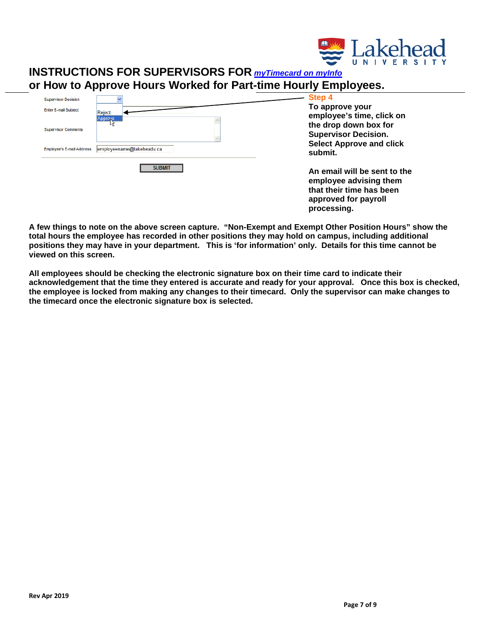

| <b>Supervisor Decision</b>       | v                         |
|----------------------------------|---------------------------|
| <b>Enter E-mail Subject</b>      | Reject                    |
|                                  | Approve<br>kś             |
| <b>Supervisor Comments</b>       |                           |
|                                  |                           |
| <b>Employee's E-mail Address</b> | employeename@lakeheadu.ca |
|                                  | <b>SUBMIT</b>             |
|                                  |                           |
|                                  |                           |

**Step 4 To approve your employee's time, click on the drop down box for Supervisor Decision. Select Approve and click submit.**

**An email will be sent to the employee advising them that their time has been approved for payroll processing.**

**A few things to note on the above screen capture. "Non-Exempt and Exempt Other Position Hours" show the total hours the employee has recorded in other positions they may hold on campus, including additional positions they may have in your department. This is 'for information' only. Details for this time cannot be viewed on this screen.**

**All employees should be checking the electronic signature box on their time card to indicate their acknowledgement that the time they entered is accurate and ready for your approval. Once this box is checked, the employee is locked from making any changes to their timecard. Only the supervisor can make changes to the timecard once the electronic signature box is selected.**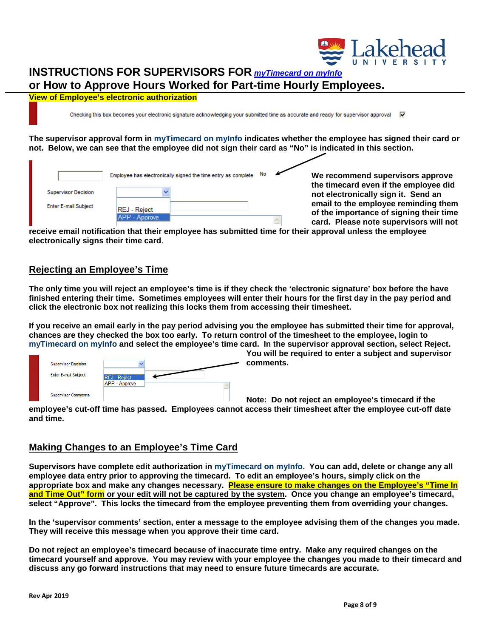

**View of Employee's electronic authorization**

Checking this box becomes your electronic signature acknowledging your submitted time as accurate and ready for supervisor approval  $\bar{v}$ 

**The supervisor approval form in myTimecard on myInfo indicates whether the employee has signed their card or not. Below, we can see that the employee did not sign their card as "No" is indicated in this section.**

|                             | Employee has electronically signed the time entry as complete |  | We recommend supervisors approve                                                |
|-----------------------------|---------------------------------------------------------------|--|---------------------------------------------------------------------------------|
| <b>Supervisor Decision</b>  |                                                               |  | the timecard even if the employee did<br>not electronically sign it. Send an    |
| <b>Enter E-mail Subject</b> | <b>REJ - Reject</b><br>APP - Approve                          |  | email to the employee reminding them<br>of the importance of signing their time |
|                             |                                                               |  | card. Please note supervisors will not                                          |

**receive email notification that their employee has submitted time for their approval unless the employee electronically signs their time card**.

### **Rejecting an Employee's Time**

**The only time you will reject an employee's time is if they check the 'electronic signature' box before the have finished entering their time. Sometimes employees will enter their hours for the first day in the pay period and click the electronic box not realizing this locks them from accessing their timesheet.** 

**If you receive an email early in the pay period advising you the employee has submitted their time for approval, chances are they checked the box too early. To return control of the timesheet to the employee, login to myTimecard on myInfo and select the employee's time card. In the supervisor approval section, select Reject.** 

| <b>Supervisor Decision</b><br><b>Enter E-mail Subject</b> | <b>REJ</b> - Reject<br>APP - Approve |  |
|-----------------------------------------------------------|--------------------------------------|--|
| <b>Supervisor Comments</b>                                |                                      |  |

**You will be required to enter a subject and supervisor comments.**

**Note: Do not reject an employee's timecard if the** 

**employee's cut-off time has passed. Employees cannot access their timesheet after the employee cut-off date and time.**

### **Making Changes to an Employee's Time Card**

**Supervisors have complete edit authorization in myTimecard on myInfo. You can add, delete or change any all employee data entry prior to approving the timecard. To edit an employee's hours, simply click on the appropriate box and make any changes necessary. Please ensure to make changes on the Employee's "Time In and Time Out" form or your edit will not be captured by the system. Once you change an employee's timecard, select "Approve". This locks the timecard from the employee preventing them from overriding your changes.**

**In the 'supervisor comments' section, enter a message to the employee advising them of the changes you made. They will receive this message when you approve their time card.**

**Do not reject an employee's timecard because of inaccurate time entry. Make any required changes on the timecard yourself and approve. You may review with your employee the changes you made to their timecard and discuss any go forward instructions that may need to ensure future timecards are accurate.**